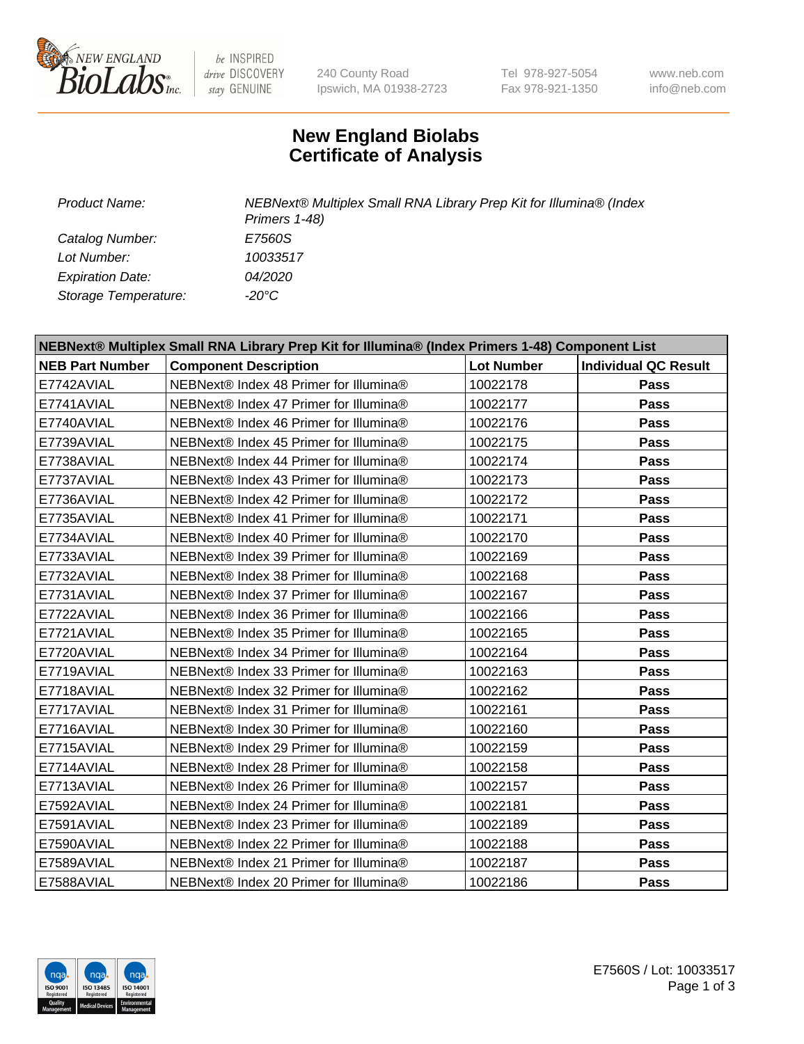

be INSPIRED drive DISCOVERY stay GENUINE

240 County Road Ipswich, MA 01938-2723 Tel 978-927-5054 Fax 978-921-1350

www.neb.com info@neb.com

## **New England Biolabs Certificate of Analysis**

*Catalog Number: E7560S Lot Number: 10033517 Expiration Date: 04/2020 Storage Temperature: -20°C*

*Product Name: NEBNext® Multiplex Small RNA Library Prep Kit for Illumina® (Index Primers 1-48)*

| NEBNext® Multiplex Small RNA Library Prep Kit for Illumina® (Index Primers 1-48) Component List |                                        |                   |                             |  |  |
|-------------------------------------------------------------------------------------------------|----------------------------------------|-------------------|-----------------------------|--|--|
| <b>NEB Part Number</b>                                                                          | <b>Component Description</b>           | <b>Lot Number</b> | <b>Individual QC Result</b> |  |  |
| E7742AVIAL                                                                                      | NEBNext® Index 48 Primer for Illumina® | 10022178          | Pass                        |  |  |
| E7741AVIAL                                                                                      | NEBNext® Index 47 Primer for Illumina® | 10022177          | Pass                        |  |  |
| E7740AVIAL                                                                                      | NEBNext® Index 46 Primer for Illumina® | 10022176          | Pass                        |  |  |
| E7739AVIAL                                                                                      | NEBNext® Index 45 Primer for Illumina® | 10022175          | <b>Pass</b>                 |  |  |
| E7738AVIAL                                                                                      | NEBNext® Index 44 Primer for Illumina® | 10022174          | Pass                        |  |  |
| E7737AVIAL                                                                                      | NEBNext® Index 43 Primer for Illumina® | 10022173          | Pass                        |  |  |
| E7736AVIAL                                                                                      | NEBNext® Index 42 Primer for Illumina® | 10022172          | <b>Pass</b>                 |  |  |
| E7735AVIAL                                                                                      | NEBNext® Index 41 Primer for Illumina® | 10022171          | <b>Pass</b>                 |  |  |
| E7734AVIAL                                                                                      | NEBNext® Index 40 Primer for Illumina® | 10022170          | Pass                        |  |  |
| E7733AVIAL                                                                                      | NEBNext® Index 39 Primer for Illumina® | 10022169          | <b>Pass</b>                 |  |  |
| E7732AVIAL                                                                                      | NEBNext® Index 38 Primer for Illumina® | 10022168          | Pass                        |  |  |
| E7731AVIAL                                                                                      | NEBNext® Index 37 Primer for Illumina® | 10022167          | Pass                        |  |  |
| E7722AVIAL                                                                                      | NEBNext® Index 36 Primer for Illumina® | 10022166          | Pass                        |  |  |
| E7721AVIAL                                                                                      | NEBNext® Index 35 Primer for Illumina® | 10022165          | Pass                        |  |  |
| E7720AVIAL                                                                                      | NEBNext® Index 34 Primer for Illumina® | 10022164          | <b>Pass</b>                 |  |  |
| E7719AVIAL                                                                                      | NEBNext® Index 33 Primer for Illumina® | 10022163          | <b>Pass</b>                 |  |  |
| E7718AVIAL                                                                                      | NEBNext® Index 32 Primer for Illumina® | 10022162          | Pass                        |  |  |
| E7717AVIAL                                                                                      | NEBNext® Index 31 Primer for Illumina® | 10022161          | Pass                        |  |  |
| E7716AVIAL                                                                                      | NEBNext® Index 30 Primer for Illumina® | 10022160          | Pass                        |  |  |
| E7715AVIAL                                                                                      | NEBNext® Index 29 Primer for Illumina® | 10022159          | <b>Pass</b>                 |  |  |
| E7714AVIAL                                                                                      | NEBNext® Index 28 Primer for Illumina® | 10022158          | <b>Pass</b>                 |  |  |
| E7713AVIAL                                                                                      | NEBNext® Index 26 Primer for Illumina® | 10022157          | Pass                        |  |  |
| E7592AVIAL                                                                                      | NEBNext® Index 24 Primer for Illumina® | 10022181          | Pass                        |  |  |
| E7591AVIAL                                                                                      | NEBNext® Index 23 Primer for Illumina® | 10022189          | <b>Pass</b>                 |  |  |
| E7590AVIAL                                                                                      | NEBNext® Index 22 Primer for Illumina® | 10022188          | Pass                        |  |  |
| E7589AVIAL                                                                                      | NEBNext® Index 21 Primer for Illumina® | 10022187          | Pass                        |  |  |
| E7588AVIAL                                                                                      | NEBNext® Index 20 Primer for Illumina® | 10022186          | <b>Pass</b>                 |  |  |

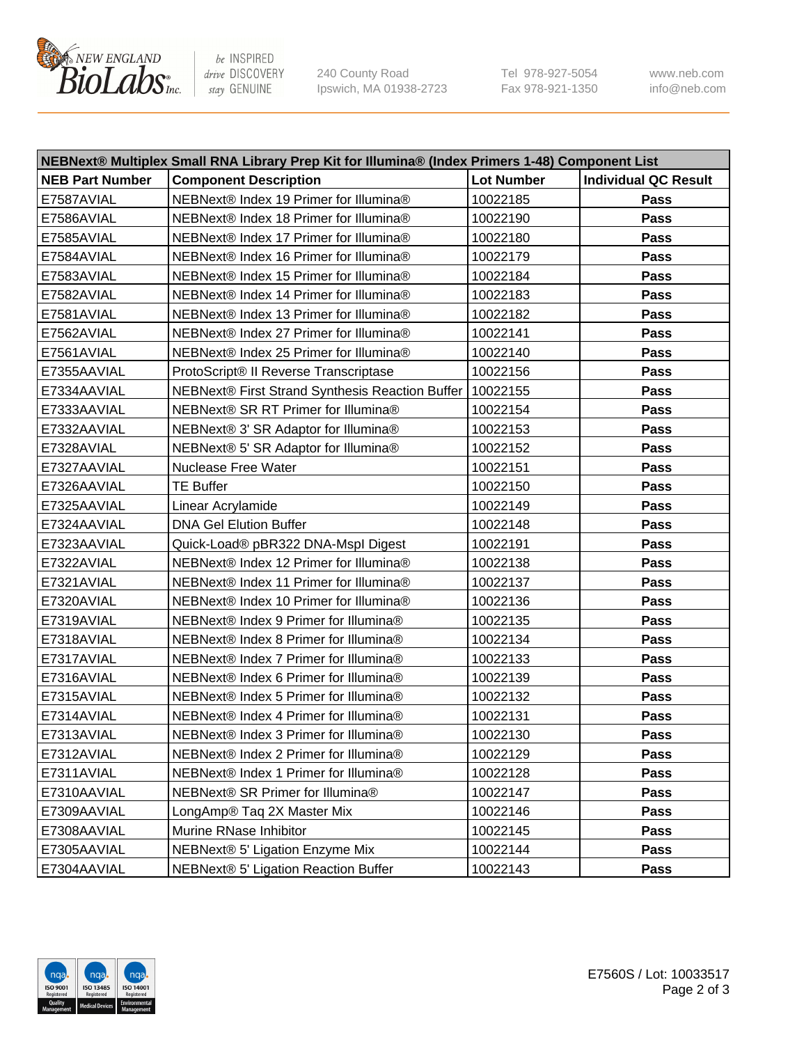

be INSPIRED drive DISCOVERY stay GENUINE

240 County Road Ipswich, MA 01938-2723 Tel 978-927-5054 Fax 978-921-1350 www.neb.com info@neb.com

| NEBNext® Multiplex Small RNA Library Prep Kit for Illumina® (Index Primers 1-48) Component List |                                                 |                   |                             |  |  |
|-------------------------------------------------------------------------------------------------|-------------------------------------------------|-------------------|-----------------------------|--|--|
| <b>NEB Part Number</b>                                                                          | <b>Component Description</b>                    | <b>Lot Number</b> | <b>Individual QC Result</b> |  |  |
| E7587AVIAL                                                                                      | NEBNext® Index 19 Primer for Illumina®          | 10022185          | Pass                        |  |  |
| E7586AVIAL                                                                                      | NEBNext® Index 18 Primer for Illumina®          | 10022190          | <b>Pass</b>                 |  |  |
| E7585AVIAL                                                                                      | NEBNext® Index 17 Primer for Illumina®          | 10022180          | Pass                        |  |  |
| E7584AVIAL                                                                                      | NEBNext® Index 16 Primer for Illumina®          | 10022179          | Pass                        |  |  |
| E7583AVIAL                                                                                      | NEBNext® Index 15 Primer for Illumina®          | 10022184          | Pass                        |  |  |
| E7582AVIAL                                                                                      | NEBNext® Index 14 Primer for Illumina®          | 10022183          | Pass                        |  |  |
| E7581AVIAL                                                                                      | NEBNext® Index 13 Primer for Illumina®          | 10022182          | Pass                        |  |  |
| E7562AVIAL                                                                                      | NEBNext® Index 27 Primer for Illumina®          | 10022141          | Pass                        |  |  |
| E7561AVIAL                                                                                      | NEBNext® Index 25 Primer for Illumina®          | 10022140          | Pass                        |  |  |
| E7355AAVIAL                                                                                     | ProtoScript® II Reverse Transcriptase           | 10022156          | Pass                        |  |  |
| E7334AAVIAL                                                                                     | NEBNext® First Strand Synthesis Reaction Buffer | 10022155          | Pass                        |  |  |
| E7333AAVIAL                                                                                     | NEBNext® SR RT Primer for Illumina®             | 10022154          | Pass                        |  |  |
| E7332AAVIAL                                                                                     | NEBNext® 3' SR Adaptor for Illumina®            | 10022153          | Pass                        |  |  |
| E7328AVIAL                                                                                      | NEBNext® 5' SR Adaptor for Illumina®            | 10022152          | Pass                        |  |  |
| E7327AAVIAL                                                                                     | Nuclease Free Water                             | 10022151          | Pass                        |  |  |
| E7326AAVIAL                                                                                     | <b>TE Buffer</b>                                | 10022150          | Pass                        |  |  |
| E7325AAVIAL                                                                                     | Linear Acrylamide                               | 10022149          | Pass                        |  |  |
| E7324AAVIAL                                                                                     | <b>DNA Gel Elution Buffer</b>                   | 10022148          | Pass                        |  |  |
| E7323AAVIAL                                                                                     | Quick-Load® pBR322 DNA-Mspl Digest              | 10022191          | Pass                        |  |  |
| E7322AVIAL                                                                                      | NEBNext® Index 12 Primer for Illumina®          | 10022138          | Pass                        |  |  |
| E7321AVIAL                                                                                      | NEBNext® Index 11 Primer for Illumina®          | 10022137          | Pass                        |  |  |
| E7320AVIAL                                                                                      | NEBNext® Index 10 Primer for Illumina®          | 10022136          | Pass                        |  |  |
| E7319AVIAL                                                                                      | NEBNext® Index 9 Primer for Illumina®           | 10022135          | Pass                        |  |  |
| E7318AVIAL                                                                                      | NEBNext® Index 8 Primer for Illumina®           | 10022134          | Pass                        |  |  |
| E7317AVIAL                                                                                      | NEBNext® Index 7 Primer for Illumina®           | 10022133          | Pass                        |  |  |
| E7316AVIAL                                                                                      | NEBNext® Index 6 Primer for Illumina®           | 10022139          | Pass                        |  |  |
| E7315AVIAL                                                                                      | NEBNext® Index 5 Primer for Illumina®           | 10022132          | Pass                        |  |  |
| E7314AVIAL                                                                                      | NEBNext® Index 4 Primer for Illumina®           | 10022131          | Pass                        |  |  |
| E7313AVIAL                                                                                      | NEBNext® Index 3 Primer for Illumina®           | 10022130          | Pass                        |  |  |
| E7312AVIAL                                                                                      | NEBNext® Index 2 Primer for Illumina®           | 10022129          | Pass                        |  |  |
| E7311AVIAL                                                                                      | NEBNext® Index 1 Primer for Illumina®           | 10022128          | Pass                        |  |  |
| E7310AAVIAL                                                                                     | NEBNext® SR Primer for Illumina®                | 10022147          | Pass                        |  |  |
| E7309AAVIAL                                                                                     | LongAmp® Taq 2X Master Mix                      | 10022146          | Pass                        |  |  |
| E7308AAVIAL                                                                                     | Murine RNase Inhibitor                          | 10022145          | Pass                        |  |  |
| E7305AAVIAL                                                                                     | NEBNext® 5' Ligation Enzyme Mix                 | 10022144          | Pass                        |  |  |
| E7304AAVIAL                                                                                     | NEBNext® 5' Ligation Reaction Buffer            | 10022143          | Pass                        |  |  |